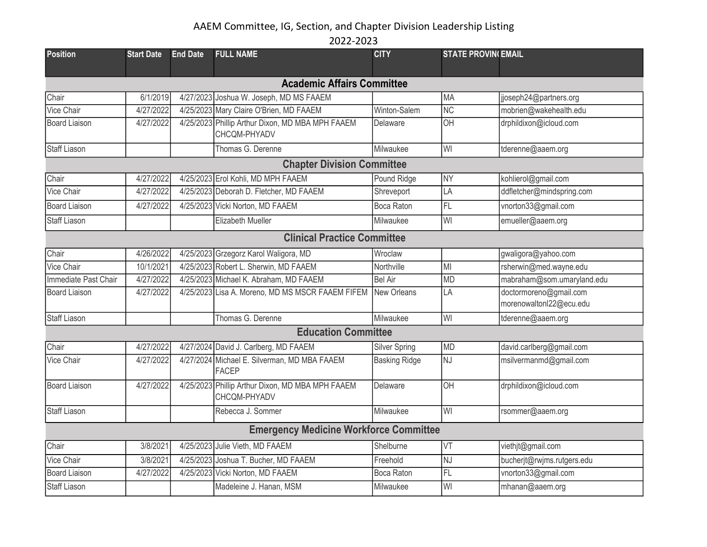| <b>Position</b>                    | <b>Start Date</b> | <b>End Date</b> | <b>FULL NAME</b>                                                 | <b>CITY</b>          | <b>STATE PROVIN(EMAIL</b> |                                                   |  |  |  |
|------------------------------------|-------------------|-----------------|------------------------------------------------------------------|----------------------|---------------------------|---------------------------------------------------|--|--|--|
|                                    |                   |                 |                                                                  |                      |                           |                                                   |  |  |  |
| <b>Academic Affairs Committee</b>  |                   |                 |                                                                  |                      |                           |                                                   |  |  |  |
| Chair                              | 6/1/2019          |                 | 4/27/2023 Joshua W. Joseph, MD MS FAAEM                          |                      | MA                        | jjoseph24@partners.org                            |  |  |  |
| Vice Chair                         | 4/27/2022         |                 | 4/25/2023 Mary Claire O'Brien, MD FAAEM                          | Winton-Salem         | <b>NC</b>                 | mobrien@wakehealth.edu                            |  |  |  |
| <b>Board Liaison</b>               | 4/27/2022         |                 | 4/25/2023 Phillip Arthur Dixon, MD MBA MPH FAAEM<br>CHCQM-PHYADV | Delaware             | OH                        | drphildixon@icloud.com                            |  |  |  |
| <b>Staff Liason</b>                |                   |                 | Thomas G. Derenne                                                | Milwaukee            | lwi                       | tderenne@aaem.org                                 |  |  |  |
|                                    |                   |                 | <b>Chapter Division Committee</b>                                |                      |                           |                                                   |  |  |  |
| Chair                              | 4/27/2022         |                 | 4/25/2023 Erol Kohli, MD MPH FAAEM                               | Pound Ridge          | <b>NY</b>                 | kohlierol@gmail.com                               |  |  |  |
| Vice Chair                         | 4/27/2022         |                 | 4/25/2023 Deborah D. Fletcher, MD FAAEM                          | Shreveport           | LA                        | ddfletcher@mindspring.com                         |  |  |  |
| <b>Board Liaison</b>               | 4/27/2022         |                 | 4/25/2023 Vicki Norton, MD FAAEM                                 | <b>Boca Raton</b>    | <b>FL</b>                 | vnorton33@gmail.com                               |  |  |  |
| <b>Staff Liason</b>                |                   |                 | Elizabeth Mueller                                                | Milwaukee            | lwı                       | emueller@aaem.org                                 |  |  |  |
| <b>Clinical Practice Committee</b> |                   |                 |                                                                  |                      |                           |                                                   |  |  |  |
| Chair                              | 4/26/2022         |                 | 4/25/2023 Grzegorz Karol Waligora, MD                            | Wroclaw              |                           | gwaligora@yahoo.com                               |  |  |  |
| Vice Chair                         | 10/1/2021         |                 | 4/25/2023 Robert L. Sherwin, MD FAAEM                            | Northville           | MI                        | rsherwin@med.wayne.edu                            |  |  |  |
| Immediate Past Chair               | 4/27/2022         |                 | 4/25/2023 Michael K. Abraham, MD FAAEM                           | <b>Bel Air</b>       | <b>MD</b>                 | mabraham@som.umaryland.edu                        |  |  |  |
| <b>Board Liaison</b>               | 4/27/2022         |                 | 4/25/2023 Lisa A. Moreno, MD MS MSCR FAAEM FIFEM                 | New Orleans          | LA                        | doctormoreno@gmail.com<br>morenowaltonl22@ecu.edu |  |  |  |
| <b>Staff Liason</b>                |                   |                 | Thomas G. Derenne                                                | Milwaukee            | WI                        | tderenne@aaem.org                                 |  |  |  |
|                                    |                   |                 | <b>Education Committee</b>                                       |                      |                           |                                                   |  |  |  |
| Chair                              | 4/27/2022         |                 | 4/27/2024 David J. Carlberg, MD FAAEM                            | <b>Silver Spring</b> | <b>MD</b>                 | david.carlberg@gmail.com                          |  |  |  |
| <b>Vice Chair</b>                  | 4/27/2022         |                 | 4/27/2024 Michael E. Silverman, MD MBA FAAEM<br><b>FACEP</b>     | <b>Basking Ridge</b> | NJ                        | msilvermanmd@gmail.com                            |  |  |  |
| <b>Board Liaison</b>               | 4/27/2022         |                 | 4/25/2023 Phillip Arthur Dixon, MD MBA MPH FAAEM<br>CHCQM-PHYADV | Delaware             | lон                       | drphildixon@icloud.com                            |  |  |  |
| <b>Staff Liason</b>                |                   |                 | Rebecca J. Sommer                                                | Milwaukee            | WI                        | rsommer@aaem.org                                  |  |  |  |
|                                    |                   |                 | <b>Emergency Medicine Workforce Committee</b>                    |                      |                           |                                                   |  |  |  |
| Chair                              | 3/8/2021          |                 | 4/25/2023 Julie Vieth, MD FAAEM                                  | Shelburne            | VT                        | viethjt@gmail.com                                 |  |  |  |
| Vice Chair                         | 3/8/2021          |                 | 4/25/2023 Joshua T. Bucher, MD FAAEM                             | Freehold             | <b>NJ</b>                 | bucherjt@rwjms.rutgers.edu                        |  |  |  |
| <b>Board Liaison</b>               | 4/27/2022         |                 | 4/25/2023 Vicki Norton, MD FAAEM                                 | Boca Raton           | FL                        | vnorton33@gmail.com                               |  |  |  |
| Staff Liason                       |                   |                 | Madeleine J. Hanan, MSM                                          | Milwaukee            | WI                        | mhanan@aaem.org                                   |  |  |  |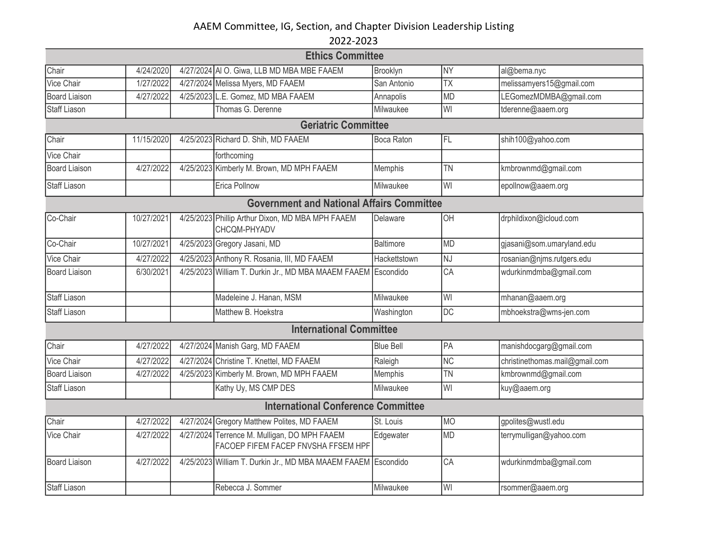|                      |            | <b>Ethics Committee</b>                                                             |                   |                 |                                |
|----------------------|------------|-------------------------------------------------------------------------------------|-------------------|-----------------|--------------------------------|
| Chair                | 4/24/2020  | 4/27/2024 AI O. Giwa, LLB MD MBA MBE FAAEM                                          | Brooklyn          | <b>NY</b>       | al@bema.nyc                    |
| <b>Vice Chair</b>    | 1/27/2022  | 4/27/2024 Melissa Myers, MD FAAEM                                                   | San Antonio       | <b>TX</b>       | melissamyers15@gmail.com       |
| <b>Board Liaison</b> | 4/27/2022  | 4/25/2023 L.E. Gomez, MD MBA FAAEM                                                  | Annapolis         | <b>MD</b>       | LEGomezMDMBA@gmail.com         |
| <b>Staff Liason</b>  |            | Thomas G. Derenne                                                                   | Milwaukee         | WI              | tderenne@aaem.org              |
|                      |            | <b>Geriatric Committee</b>                                                          |                   |                 |                                |
| Chair                | 11/15/2020 | 4/25/2023 Richard D. Shih, MD FAAEM                                                 | <b>Boca Raton</b> | FL              | shih100@yahoo.com              |
| Vice Chair           |            | forthcoming                                                                         |                   |                 |                                |
| <b>Board Liaison</b> | 4/27/2022  | 4/25/2023 Kimberly M. Brown, MD MPH FAAEM                                           | Memphis           | <b>TN</b>       | kmbrownmd@gmail.com            |
| <b>Staff Liason</b>  |            | Erica Pollnow                                                                       | Milwaukee         | WI              | epollnow@aaem.org              |
|                      |            | <b>Government and National Affairs Committee</b>                                    |                   |                 |                                |
| Co-Chair             | 10/27/2021 | 4/25/2023 Phillip Arthur Dixon, MD MBA MPH FAAEM<br>CHCQM-PHYADV                    | Delaware          | OH              | drphildixon@icloud.com         |
| Co-Chair             | 10/27/2021 | 4/25/2023 Gregory Jasani, MD                                                        | <b>Baltimore</b>  | <b>MD</b>       | gjasani@som.umaryland.edu      |
| Vice Chair           | 4/27/2022  | 4/25/2023 Anthony R. Rosania, III, MD FAAEM                                         | Hackettstown      | NJ              | rosanian@njms.rutgers.edu      |
| <b>Board Liaison</b> | 6/30/2021  | 4/25/2023 William T. Durkin Jr., MD MBA MAAEM FAAEM Escondido                       |                   | CA              | wdurkinmdmba@gmail.com         |
| <b>Staff Liason</b>  |            | Madeleine J. Hanan, MSM                                                             | Milwaukee         | WI              | mhanan@aaem.org                |
| <b>Staff Liason</b>  |            | Matthew B. Hoekstra                                                                 | Washington        | $\overline{DC}$ | mbhoekstra@wms-jen.com         |
|                      |            | <b>International Committee</b>                                                      |                   |                 |                                |
| Chair                | 4/27/2022  | 4/27/2024 Manish Garg, MD FAAEM                                                     | <b>Blue Bell</b>  | PA              | manishdocgarg@gmail.com        |
| Vice Chair           | 4/27/2022  | 4/27/2024 Christine T. Knettel, MD FAAEM                                            | Raleigh           | <b>NC</b>       | christinethomas.mail@gmail.com |
| <b>Board Liaison</b> | 4/27/2022  | 4/25/2023 Kimberly M. Brown, MD MPH FAAEM                                           | Memphis           | <b>TN</b>       | kmbrownmd@gmail.com            |
| <b>Staff Liason</b>  |            | Kathy Uy, MS CMP DES                                                                | Milwaukee         | WI              | kuy@aaem.org                   |
|                      |            | <b>International Conference Committee</b>                                           |                   |                 |                                |
| Chair                | 4/27/2022  | 4/27/2024 Gregory Matthew Polites, MD FAAEM                                         | St. Louis         | <b>MO</b>       | gpolites@wustl.edu             |
| Vice Chair           | 4/27/2022  | 4/27/2024 Terrence M. Mulligan, DO MPH FAAEM<br>FACOEP FIFEM FACEP FNVSHA FFSEM HPF | Edgewater         | <b>MD</b>       | terrymulligan@yahoo.com        |
| <b>Board Liaison</b> | 4/27/2022  | 4/25/2023 William T. Durkin Jr., MD MBA MAAEM FAAEM Escondido                       |                   | CA              | wdurkinmdmba@gmail.com         |
| Staff Liason         |            | Rebecca J. Sommer                                                                   | Milwaukee         | WI              | rsommer@aaem.org               |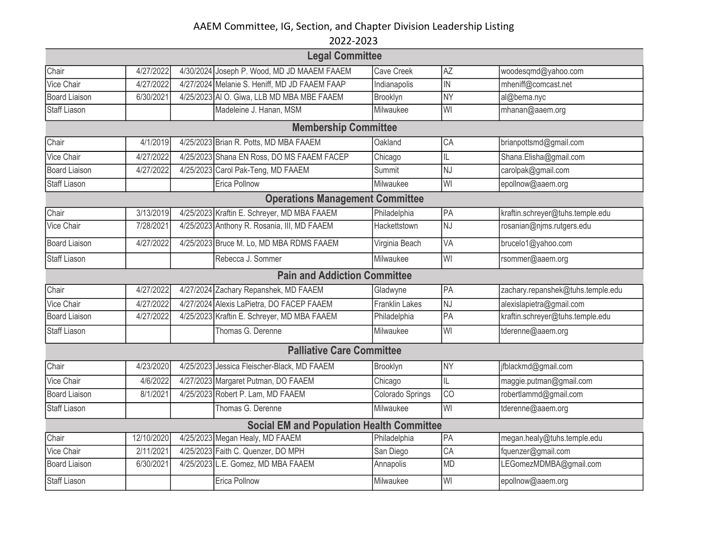| <b>Legal Committee</b>                 |            |  |                                                  |                       |           |                                   |  |  |  |  |
|----------------------------------------|------------|--|--------------------------------------------------|-----------------------|-----------|-----------------------------------|--|--|--|--|
| Chair                                  | 4/27/2022  |  | 4/30/2024 Joseph P. Wood, MD JD MAAEM FAAEM      | Cave Creek            | <b>AZ</b> | woodesqmd@yahoo.com               |  |  |  |  |
| Vice Chair                             | 4/27/2022  |  | 4/27/2024 Melanie S. Heniff, MD JD FAAEM FAAP    | Indianapolis          | IN        | mheniff@comcast.net               |  |  |  |  |
| <b>Board Liaison</b>                   | 6/30/2021  |  | 4/25/2023 AI O. Giwa, LLB MD MBA MBE FAAEM       | Brooklyn              | <b>NY</b> | al@bema.nyc                       |  |  |  |  |
| <b>Staff Liason</b>                    |            |  | Madeleine J. Hanan, MSM                          | Milwaukee             | WI        | mhanan@aaem.org                   |  |  |  |  |
| <b>Membership Committee</b>            |            |  |                                                  |                       |           |                                   |  |  |  |  |
| Chair                                  | 4/1/2019   |  | 4/25/2023 Brian R. Potts, MD MBA FAAEM           | Oakland               | CA        | brianpottsmd@gmail.com            |  |  |  |  |
| Vice Chair                             | 4/27/2022  |  | 4/25/2023 Shana EN Ross, DO MS FAAEM FACEP       | Chicago               | IL        | Shana.Elisha@gmail.com            |  |  |  |  |
| <b>Board Liaison</b>                   | 4/27/2022  |  | 4/25/2023 Carol Pak-Teng, MD FAAEM               | Summit                | NJ        | carolpak@gmail.com                |  |  |  |  |
| <b>Staff Liason</b>                    |            |  | Erica Pollnow                                    | Milwaukee             | WI        | epollnow@aaem.org                 |  |  |  |  |
| <b>Operations Management Committee</b> |            |  |                                                  |                       |           |                                   |  |  |  |  |
| Chair                                  | 3/13/2019  |  | 4/25/2023 Kraftin E. Schreyer, MD MBA FAAEM      | Philadelphia          | PA        | kraftin.schreyer@tuhs.temple.edu  |  |  |  |  |
| Vice Chair                             | 7/28/2021  |  | 4/25/2023 Anthony R. Rosania, III, MD FAAEM      | Hackettstown          | <b>NJ</b> | rosanian@njms.rutgers.edu         |  |  |  |  |
| <b>Board Liaison</b>                   | 4/27/2022  |  | 4/25/2023 Bruce M. Lo, MD MBA RDMS FAAEM         | Virginia Beach        | VA        | brucelo1@yahoo.com                |  |  |  |  |
| <b>Staff Liason</b>                    |            |  | Rebecca J. Sommer                                | Milwaukee             | WI        | rsommer@aaem.org                  |  |  |  |  |
| <b>Pain and Addiction Committee</b>    |            |  |                                                  |                       |           |                                   |  |  |  |  |
| Chair                                  | 4/27/2022  |  | 4/27/2024 Zachary Repanshek, MD FAAEM            | Gladwyne              | PA        | zachary.repanshek@tuhs.temple.edu |  |  |  |  |
| <b>Vice Chair</b>                      | 4/27/2022  |  | 4/27/2024 Alexis LaPietra, DO FACEP FAAEM        | <b>Franklin Lakes</b> | NJ        | alexislapietra@gmail.com          |  |  |  |  |
| <b>Board Liaison</b>                   | 4/27/2022  |  | 4/25/2023 Kraftin E. Schreyer, MD MBA FAAEM      | Philadelphia          | PA        | kraftin.schreyer@tuhs.temple.edu  |  |  |  |  |
| <b>Staff Liason</b>                    |            |  | Thomas G. Derenne                                | Milwaukee             | WI        | tderenne@aaem.org                 |  |  |  |  |
|                                        |            |  | <b>Palliative Care Committee</b>                 |                       |           |                                   |  |  |  |  |
| Chair                                  | 4/23/2020  |  | 4/25/2023 Jessica Fleischer-Black, MD FAAEM      | Brooklyn              | <b>NY</b> | jfblackmd@gmail.com               |  |  |  |  |
| Vice Chair                             | 4/6/2022   |  | 4/27/2023 Margaret Putman, DO FAAEM              | Chicago               | IL        | maggie.putman@gmail.com           |  |  |  |  |
| <b>Board Liaison</b>                   | 8/1/2021   |  | 4/25/2023 Robert P. Lam, MD FAAEM                | Colorado Springs      | CO        | robertlammd@gmail.com             |  |  |  |  |
| <b>Staff Liason</b>                    |            |  | Thomas G. Derenne                                | Milwaukee             | WI        | tderenne@aaem.org                 |  |  |  |  |
|                                        |            |  | <b>Social EM and Population Health Committee</b> |                       |           |                                   |  |  |  |  |
| Chair                                  | 12/10/2020 |  | 4/25/2023 Megan Healy, MD FAAEM                  | Philadelphia          | PA        | megan.healy@tuhs.temple.edu       |  |  |  |  |
| Vice Chair                             | 2/11/2021  |  | 4/25/2023 Faith C. Quenzer, DO MPH               | San Diego             | CA        | fquenzer@gmail.com                |  |  |  |  |
| <b>Board Liaison</b>                   | 6/30/2021  |  | 4/25/2023 L.E. Gomez, MD MBA FAAEM               | Annapolis             | <b>MD</b> | LEGomezMDMBA@gmail.com            |  |  |  |  |
| <b>Staff Liason</b>                    |            |  | Erica Pollnow                                    | Milwaukee             | WI        | epollnow@aaem.org                 |  |  |  |  |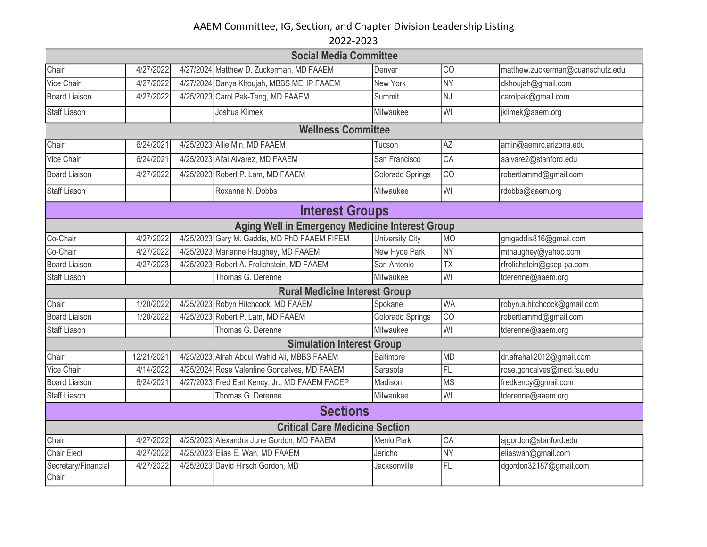|                                                        | <b>Social Media Committee</b> |  |                                                |                  |           |                                  |  |  |  |  |
|--------------------------------------------------------|-------------------------------|--|------------------------------------------------|------------------|-----------|----------------------------------|--|--|--|--|
| Chair                                                  | 4/27/2022                     |  | 4/27/2024 Matthew D. Zuckerman, MD FAAEM       | Denver           | CO        | matthew.zuckerman@cuanschutz.edu |  |  |  |  |
| Vice Chair                                             | 4/27/2022                     |  | 4/27/2024 Danya Khoujah, MBBS MEHP FAAEM       | New York         | <b>NY</b> | dkhoujah@gmail.com               |  |  |  |  |
| <b>Board Liaison</b>                                   | 4/27/2022                     |  | 4/25/2023 Carol Pak-Teng, MD FAAEM             | Summit           | <b>NJ</b> | carolpak@gmail.com               |  |  |  |  |
| <b>Staff Liason</b>                                    |                               |  | Joshua Klimek                                  | Milwaukee        | WI        | jklimek@aaem.org                 |  |  |  |  |
|                                                        | <b>Wellness Committee</b>     |  |                                                |                  |           |                                  |  |  |  |  |
| Chair                                                  | 6/24/2021                     |  | 4/25/2023 Allie Min, MD FAAEM                  | Tucson           | AZ        | amin@aemrc.arizona.edu           |  |  |  |  |
| Vice Chair                                             | 6/24/2021                     |  | 4/25/2023 Al'ai Alvarez, MD FAAEM              | San Francisco    | CA        | aalvare2@stanford.edu            |  |  |  |  |
| <b>Board Liaison</b>                                   | 4/27/2022                     |  | 4/25/2023 Robert P. Lam, MD FAAEM              | Colorado Springs | CO        | robertlammd@gmail.com            |  |  |  |  |
| <b>Staff Liason</b>                                    |                               |  | Roxanne N. Dobbs                               | Milwaukee        | WI        | rdobbs@aaem.org                  |  |  |  |  |
| <b>Interest Groups</b>                                 |                               |  |                                                |                  |           |                                  |  |  |  |  |
| <b>Aging Well in Emergency Medicine Interest Group</b> |                               |  |                                                |                  |           |                                  |  |  |  |  |
| Co-Chair                                               | 4/27/2022                     |  | 4/25/2023 Gary M. Gaddis, MD PhD FAAEM FIFEM   | University City  | MO        | gmgaddis816@gmail.com            |  |  |  |  |
| Co-Chair                                               | 4/27/2022                     |  | 4/25/2023 Marianne Haughey, MD FAAEM           | New Hyde Park    | <b>NY</b> | mthaughey@yahoo.com              |  |  |  |  |
| <b>Board Liaison</b>                                   | 4/27/2023                     |  | 4/25/2023 Robert A. Frolichstein, MD FAAEM     | San Antonio      | <b>TX</b> | rfrolichstein@gsep-pa.com        |  |  |  |  |
| <b>Staff Liason</b>                                    |                               |  | Thomas G. Derenne                              | Milwaukee        | WI        | tderenne@aaem.org                |  |  |  |  |
|                                                        |                               |  | <b>Rural Medicine Interest Group</b>           |                  |           |                                  |  |  |  |  |
| Chair                                                  | 1/20/2022                     |  | 4/25/2023 Robyn Hitchcock, MD FAAEM            | Spokane          | <b>WA</b> | robyn.a.hitchcock@gmail.com      |  |  |  |  |
| <b>Board Liaison</b>                                   | 1/20/2022                     |  | 4/25/2023 Robert P. Lam, MD FAAEM              | Colorado Springs | CO        | robertlammd@gmail.com            |  |  |  |  |
| <b>Staff Liason</b>                                    |                               |  | Thomas G. Derenne                              | Milwaukee        | WI        | tderenne@aaem.org                |  |  |  |  |
|                                                        |                               |  | <b>Simulation Interest Group</b>               |                  |           |                                  |  |  |  |  |
| Chair                                                  | 12/21/2021                    |  | 4/25/2023 Afrah Abdul Wahid Ali, MBBS FAAEM    | <b>Baltimore</b> | <b>MD</b> | dr.afrahali2012@gmail.com        |  |  |  |  |
| Vice Chair                                             | 4/14/2022                     |  | 4/25/2024 Rose Valentine Goncalves, MD FAAEM   | Sarasota         | FL        | rose.goncalves@med.fsu.edu       |  |  |  |  |
| <b>Board Liaison</b>                                   | 6/24/2021                     |  | 4/27/2023 Fred Earl Kency, Jr., MD FAAEM FACEP | Madison          | <b>MS</b> | fredkency@gmail.com              |  |  |  |  |
| <b>Staff Liason</b>                                    |                               |  | Thomas G. Derenne                              | Milwaukee        | WI        | tderenne@aaem.org                |  |  |  |  |
|                                                        | <b>Sections</b>               |  |                                                |                  |           |                                  |  |  |  |  |
|                                                        |                               |  | <b>Critical Care Medicine Section</b>          |                  |           |                                  |  |  |  |  |
| Chair                                                  | 4/27/2022                     |  | 4/25/2023 Alexandra June Gordon, MD FAAEM      | Menlo Park       | CA        | ajgordon@stanford.edu            |  |  |  |  |
| Chair Elect                                            | 4/27/2022                     |  | 4/25/2023 Elias E. Wan, MD FAAEM               | Jericho          | <b>NY</b> | eliaswan@gmail.com               |  |  |  |  |
| Secretary/Financial<br>Chair                           | 4/27/2022                     |  | 4/25/2023 David Hirsch Gordon, MD              | Jacksonville     | FL        | dgordon32187@gmail.com           |  |  |  |  |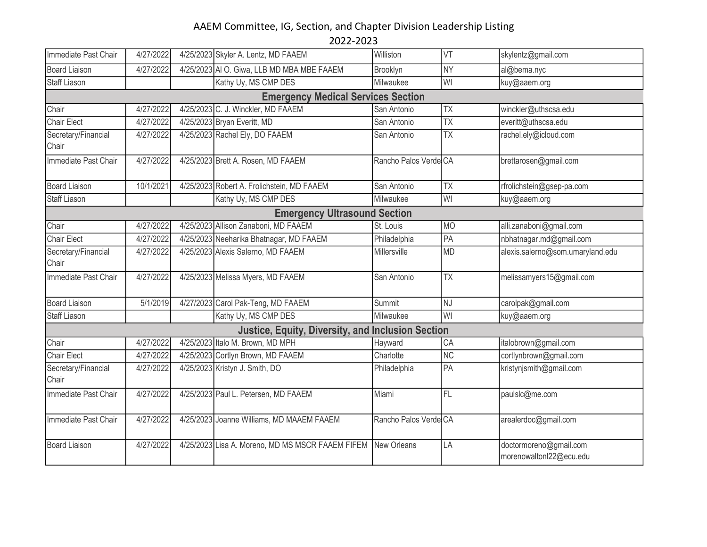| Immediate Past Chair                | 4/27/2022 |  | 4/25/2023 Skyler A. Lentz, MD FAAEM                          | Williston             | VT              | skylentz@gmail.com                                |  |  |  |
|-------------------------------------|-----------|--|--------------------------------------------------------------|-----------------------|-----------------|---------------------------------------------------|--|--|--|
| <b>Board Liaison</b>                | 4/27/2022 |  | 4/25/2023 AI O. Giwa, LLB MD MBA MBE FAAEM                   | Brooklyn              | $\overline{NY}$ | al@bema.nyc                                       |  |  |  |
| <b>Staff Liason</b>                 |           |  | Kathy Uy, MS CMP DES                                         | Milwaukee             | WI              | kuy@aaem.org                                      |  |  |  |
|                                     |           |  | <b>Emergency Medical Services Section</b>                    |                       |                 |                                                   |  |  |  |
| Chair                               | 4/27/2022 |  | 4/25/2023 C. J. Winckler, MD FAAEM                           | San Antonio           | <b>TX</b>       | winckler@uthscsa.edu                              |  |  |  |
| <b>Chair Elect</b>                  | 4/27/2022 |  | 4/25/2023 Bryan Everitt, MD                                  | San Antonio           | <b>TX</b>       | everitt@uthscsa.edu                               |  |  |  |
| Secretary/Financial<br>Chair        | 4/27/2022 |  | 4/25/2023 Rachel Ely, DO FAAEM                               | San Antonio           | <b>TX</b>       | rachel.ely@icloud.com                             |  |  |  |
| Immediate Past Chair                | 4/27/2022 |  | 4/25/2023 Brett A. Rosen, MD FAAEM                           | Rancho Palos Verde CA |                 | brettarosen@gmail.com                             |  |  |  |
| <b>Board Liaison</b>                | 10/1/2021 |  | 4/25/2023 Robert A. Frolichstein, MD FAAEM                   | San Antonio           | <b>TX</b>       | rfrolichstein@gsep-pa.com                         |  |  |  |
| <b>Staff Liason</b>                 |           |  | Kathy Uy, MS CMP DES                                         | Milwaukee             | WI              | kuy@aaem.org                                      |  |  |  |
| <b>Emergency Ultrasound Section</b> |           |  |                                                              |                       |                 |                                                   |  |  |  |
| Chair                               | 4/27/2022 |  | 4/25/2023 Allison Zanaboni, MD FAAEM                         | St. Louis             | <b>MO</b>       | alli.zanaboni@gmail.com                           |  |  |  |
| Chair Elect                         | 4/27/2022 |  | 4/25/2023 Neeharika Bhatnagar, MD FAAEM                      | Philadelphia          | PA              | nbhatnagar.md@gmail.com                           |  |  |  |
| Secretary/Financial<br>Chair        | 4/27/2022 |  | 4/25/2023 Alexis Salerno, MD FAAEM                           | Millersville          | <b>MD</b>       | alexis.salerno@som.umaryland.edu                  |  |  |  |
| Immediate Past Chair                | 4/27/2022 |  | 4/25/2023 Melissa Myers, MD FAAEM                            | San Antonio           | <b>TX</b>       | melissamyers15@gmail.com                          |  |  |  |
| <b>Board Liaison</b>                | 5/1/2019  |  | 4/27/2023 Carol Pak-Teng, MD FAAEM                           | Summit                | NJ              | carolpak@gmail.com                                |  |  |  |
| <b>Staff Liason</b>                 |           |  | Kathy Uy, MS CMP DES                                         | Milwaukee             | WI              | kuy@aaem.org                                      |  |  |  |
|                                     |           |  | <b>Justice, Equity, Diversity, and Inclusion Section</b>     |                       |                 |                                                   |  |  |  |
| Chair                               | 4/27/2022 |  | 4/25/2023 Italo M. Brown, MD MPH                             | Hayward               | CA              | italobrown@gmail.com                              |  |  |  |
| Chair Elect                         | 4/27/2022 |  | 4/25/2023 Cortlyn Brown, MD FAAEM                            | Charlotte             | <b>NC</b>       | cortlynbrown@gmail.com                            |  |  |  |
| Secretary/Financial<br>Chair        | 4/27/2022 |  | 4/25/2023 Kristyn J. Smith, DO                               | Philadelphia          | PA              | kristynjsmith@gmail.com                           |  |  |  |
| Immediate Past Chair                | 4/27/2022 |  | 4/25/2023 Paul L. Petersen, MD FAAEM                         | Miami                 | <b>FL</b>       | paulslc@me.com                                    |  |  |  |
| Immediate Past Chair                | 4/27/2022 |  | 4/25/2023 Joanne Williams, MD MAAEM FAAEM                    | Rancho Palos Verde CA |                 | arealerdoc@gmail.com                              |  |  |  |
| <b>Board Liaison</b>                | 4/27/2022 |  | 4/25/2023 Lisa A. Moreno, MD MS MSCR FAAEM FIFEM New Orleans |                       | LA              | doctormoreno@gmail.com<br>morenowaltonl22@ecu.edu |  |  |  |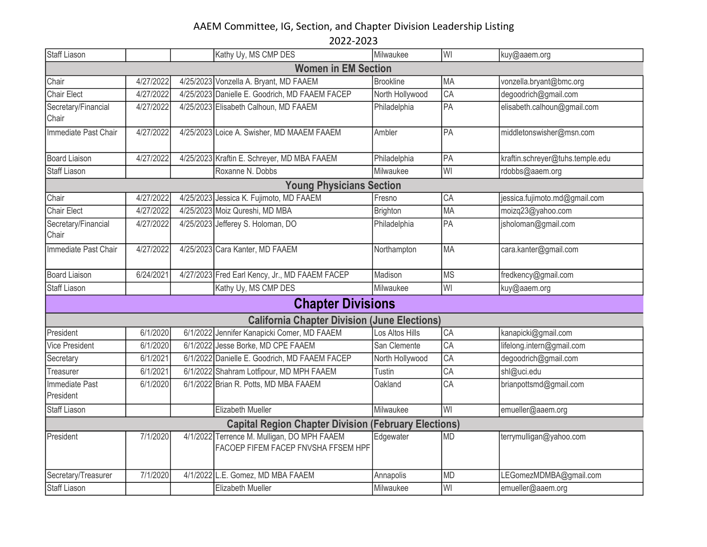| <b>Staff Liason</b>          |           |  | Kathy Uy, MS CMP DES                                                               | Milwaukee            | WI              | kuy@aaem.org                     |  |  |  |
|------------------------------|-----------|--|------------------------------------------------------------------------------------|----------------------|-----------------|----------------------------------|--|--|--|
| <b>Women in EM Section</b>   |           |  |                                                                                    |                      |                 |                                  |  |  |  |
| Chair                        | 4/27/2022 |  | 4/25/2023 Vonzella A. Bryant, MD FAAEM                                             | <b>Brookline</b>     | MA              | vonzella.bryant@bmc.org          |  |  |  |
| <b>Chair Elect</b>           | 4/27/2022 |  | 4/25/2023 Danielle E. Goodrich, MD FAAEM FACEP                                     | North Hollywood      | CA              | degoodrich@gmail.com             |  |  |  |
| Secretary/Financial<br>Chair | 4/27/2022 |  | 4/25/2023 Elisabeth Calhoun, MD FAAEM                                              | Philadelphia         | PA              | elisabeth.calhoun@gmail.com      |  |  |  |
| Immediate Past Chair         | 4/27/2022 |  | 4/25/2023 Loice A. Swisher, MD MAAEM FAAEM                                         | Ambler               | PA              | middletonswisher@msn.com         |  |  |  |
| <b>Board Liaison</b>         | 4/27/2022 |  | 4/25/2023 Kraftin E. Schreyer, MD MBA FAAEM                                        | Philadelphia         | PA              | kraftin.schreyer@tuhs.temple.edu |  |  |  |
| <b>Staff Liason</b>          |           |  | Roxanne N. Dobbs                                                                   | Milwaukee            | WI              | rdobbs@aaem.org                  |  |  |  |
|                              |           |  | <b>Young Physicians Section</b>                                                    |                      |                 |                                  |  |  |  |
| Chair                        | 4/27/2022 |  | 4/25/2023 Jessica K. Fujimoto, MD FAAEM                                            | Fresno               | CA              | jessica.fujimoto.md@gmail.com    |  |  |  |
| <b>Chair Elect</b>           | 4/27/2022 |  | 4/25/2023 Moiz Qureshi, MD MBA                                                     | <b>Brighton</b>      | <b>MA</b>       | moizq23@yahoo.com                |  |  |  |
| Secretary/Financial<br>Chair | 4/27/2022 |  | 4/25/2023 Jefferey S. Holoman, DO                                                  | Philadelphia         | PA              | jsholoman@gmail.com              |  |  |  |
| Immediate Past Chair         | 4/27/2022 |  | 4/25/2023 Cara Kanter, MD FAAEM                                                    | Northampton          | <b>MA</b>       | cara.kanter@gmail.com            |  |  |  |
| <b>Board Liaison</b>         | 6/24/2021 |  | 4/27/2023 Fred Earl Kency, Jr., MD FAAEM FACEP                                     | Madison              | <b>MS</b>       | fredkency@gmail.com              |  |  |  |
| Staff Liason                 |           |  | Kathy Uy, MS CMP DES                                                               | Milwaukee            | WI              | kuy@aaem.org                     |  |  |  |
|                              |           |  | <b>Chapter Divisions</b>                                                           |                      |                 |                                  |  |  |  |
|                              |           |  | <b>California Chapter Division (June Elections)</b>                                |                      |                 |                                  |  |  |  |
| President                    | 6/1/2020  |  | 6/1/2022 Jennifer Kanapicki Comer, MD FAAEM                                        | Los Altos Hills      | CA              | kanapicki@gmail.com              |  |  |  |
| <b>Vice President</b>        | 6/1/2020  |  | 6/1/2022 Jesse Borke, MD CPE FAAEM                                                 | San Clemente         | CA              | lifelong.intern@gmail.com        |  |  |  |
| Secretary                    | 6/1/2021  |  | 6/1/2022 Danielle E. Goodrich, MD FAAEM FACEP                                      | North Hollywood      | CA              | degoodrich@gmail.com             |  |  |  |
| Treasurer                    | 6/1/2021  |  | 6/1/2022 Shahram Lotfipour, MD MPH FAAEM                                           | Tustin               | $\overline{CA}$ | shl@uci.edu                      |  |  |  |
| Immediate Past<br>President  | 6/1/2020  |  | 6/1/2022 Brian R. Potts, MD MBA FAAEM                                              | Oakland              | CA              | brianpottsmd@gmail.com           |  |  |  |
| <b>Staff Liason</b>          |           |  | <b>Elizabeth Mueller</b>                                                           | Milwaukee            | WI              | emueller@aaem.org                |  |  |  |
|                              |           |  | <b>Capital Region Chapter Division</b>                                             | (February Elections) |                 |                                  |  |  |  |
| President                    | 7/1/2020  |  | 4/1/2022 Terrence M. Mulligan, DO MPH FAAEM<br>FACOEP FIFEM FACEP FNVSHA FFSEM HPF | Edgewater            | <b>MD</b>       | terrymulligan@yahoo.com          |  |  |  |
| Secretary/Treasurer          | 7/1/2020  |  | 4/1/2022 L.E. Gomez, MD MBA FAAEM                                                  | Annapolis            | <b>MD</b>       | LEGomezMDMBA@gmail.com           |  |  |  |
| <b>Staff Liason</b>          |           |  | Elizabeth Mueller                                                                  | Milwaukee            | WI              | emueller@aaem.org                |  |  |  |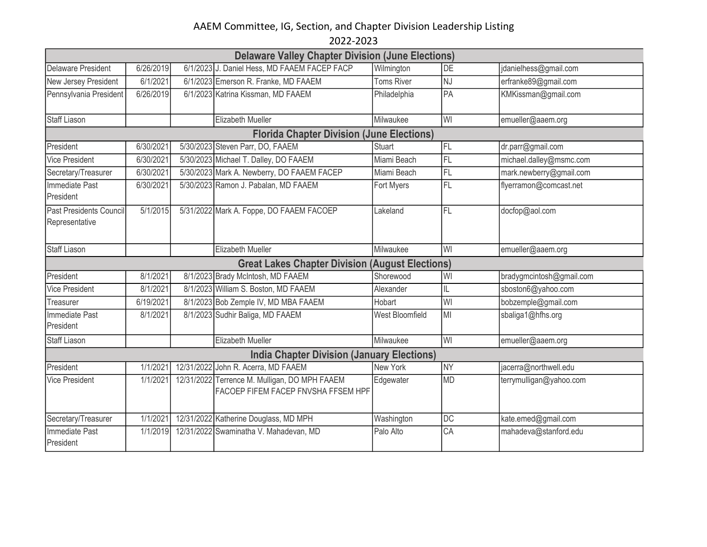| <b>Delaware Valley Chapter Division (June Elections)</b> |           |  |                                                                                      |                   |           |                          |  |  |  |
|----------------------------------------------------------|-----------|--|--------------------------------------------------------------------------------------|-------------------|-----------|--------------------------|--|--|--|
| <b>Delaware President</b>                                | 6/26/2019 |  | 6/1/2023 J. Daniel Hess, MD FAAEM FACEP FACP                                         | Wilmington        | DE        | jdanielhess@gmail.com    |  |  |  |
| New Jersey President                                     | 6/1/2021  |  | 6/1/2023 Emerson R. Franke, MD FAAEM                                                 | <b>Toms River</b> | NJ        | erfranke89@gmail.com     |  |  |  |
| Pennsylvania President                                   | 6/26/2019 |  | 6/1/2023 Katrina Kissman, MD FAAEM                                                   | Philadelphia      | PA        | KMKissman@gmail.com      |  |  |  |
|                                                          |           |  |                                                                                      |                   |           |                          |  |  |  |
| <b>Staff Liason</b>                                      |           |  | Elizabeth Mueller                                                                    | Milwaukee         | WI        | emueller@aaem.org        |  |  |  |
| <b>Florida Chapter Division (June Elections)</b>         |           |  |                                                                                      |                   |           |                          |  |  |  |
| President                                                | 6/30/2021 |  | 5/30/2023 Steven Parr, DO, FAAEM                                                     | <b>Stuart</b>     | FL        | dr.parr@gmail.com        |  |  |  |
| <b>Vice President</b>                                    | 6/30/2021 |  | 5/30/2023 Michael T. Dalley, DO FAAEM                                                | Miami Beach       | FL        | michael.dalley@msmc.com  |  |  |  |
| Secretary/Treasurer                                      | 6/30/2021 |  | 5/30/2023 Mark A. Newberry, DO FAAEM FACEP                                           | Miami Beach       | FL        | mark.newberry@gmail.com  |  |  |  |
| <b>Immediate Past</b><br>President                       | 6/30/2021 |  | 5/30/2023 Ramon J. Pabalan, MD FAAEM                                                 | Fort Myers        | FL        | flyerramon@comcast.net   |  |  |  |
| Past Presidents Council<br>Representative                | 5/1/2015  |  | 5/31/2022 Mark A. Foppe, DO FAAEM FACOEP                                             | Lakeland          | FL        | docfop@aol.com           |  |  |  |
| <b>Staff Liason</b>                                      |           |  | <b>Elizabeth Mueller</b>                                                             | Milwaukee         | WI        | emueller@aaem.org        |  |  |  |
|                                                          |           |  | <b>Great Lakes Chapter Division (August Elections)</b>                               |                   |           |                          |  |  |  |
| President                                                | 8/1/2021  |  | 8/1/2023 Brady McIntosh, MD FAAEM                                                    | Shorewood         | WI        | bradygmcintosh@gmail.com |  |  |  |
| <b>Vice President</b>                                    | 8/1/2021  |  | 8/1/2023 William S. Boston, MD FAAEM                                                 | Alexander         | IL        | sboston6@yahoo.com       |  |  |  |
| Treasurer                                                | 6/19/2021 |  | 8/1/2023 Bob Zemple IV, MD MBA FAAEM                                                 | Hobart            | WI        | bobzemple@gmail.com      |  |  |  |
| <b>Immediate Past</b><br>President                       | 8/1/2021  |  | 8/1/2023 Sudhir Baliga, MD FAAEM                                                     | West Bloomfield   | MI        | sbaliga1@hfhs.org        |  |  |  |
| <b>Staff Liason</b>                                      |           |  | Elizabeth Mueller                                                                    | Milwaukee         | WI        | emueller@aaem.org        |  |  |  |
| <b>India Chapter Division (January Elections)</b>        |           |  |                                                                                      |                   |           |                          |  |  |  |
| President                                                | 1/1/2021  |  | 12/31/2022 John R. Acerra, MD FAAEM                                                  | New York          | <b>NY</b> | jacerra@northwell.edu    |  |  |  |
| <b>Vice President</b>                                    | 1/1/2021  |  | 12/31/2022 Terrence M. Mulligan, DO MPH FAAEM<br>FACOEP FIFEM FACEP FNVSHA FFSEM HPF | Edgewater         | <b>MD</b> | terrymulligan@yahoo.com  |  |  |  |
| Secretary/Treasurer                                      | 1/1/2021  |  | 12/31/2022 Katherine Douglass, MD MPH                                                | Washington        | <b>DC</b> | kate.emed@gmail.com      |  |  |  |
| Immediate Past<br>President                              | 1/1/2019  |  | 12/31/2022 Swaminatha V. Mahadevan, MD                                               | Palo Alto         | CA        | mahadeva@stanford.edu    |  |  |  |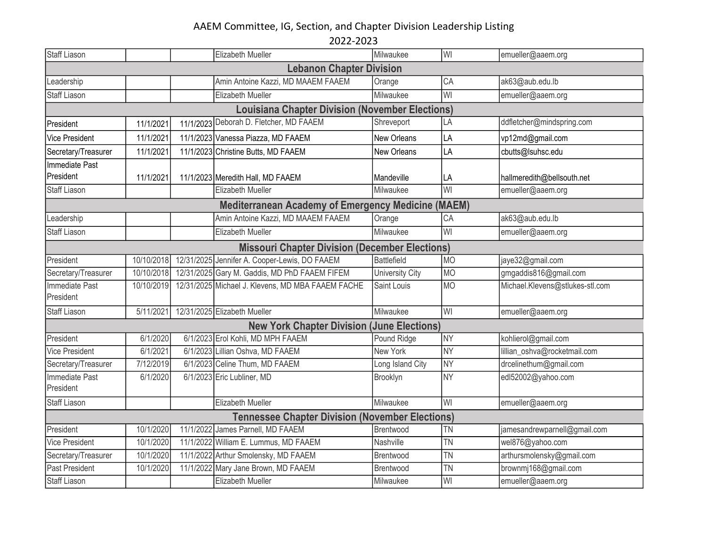| <b>Staff Liason</b>                                    |            |  | Elizabeth Mueller                                         | Milwaukee              | WI              | emueller@aaem.org               |  |  |  |
|--------------------------------------------------------|------------|--|-----------------------------------------------------------|------------------------|-----------------|---------------------------------|--|--|--|
| <b>Lebanon Chapter Division</b>                        |            |  |                                                           |                        |                 |                                 |  |  |  |
| Leadership                                             |            |  | Amin Antoine Kazzi, MD MAAEM FAAEM                        | Orange                 | CA              | ak63@aub.edu.lb                 |  |  |  |
| <b>Staff Liason</b>                                    |            |  | Elizabeth Mueller                                         | Milwaukee              | WI              | emueller@aaem.org               |  |  |  |
| <b>Louisiana Chapter Division (November Elections)</b> |            |  |                                                           |                        |                 |                                 |  |  |  |
| President                                              | 11/1/2021  |  | 11/1/2023 Deborah D. Fletcher, MD FAAEM                   | Shreveport             | LA              | ddfletcher@mindspring.com       |  |  |  |
| Vice President                                         | 11/1/2021  |  | 11/1/2023 Vanessa Piazza, MD FAAEM                        | New Orleans            | LA              | vp12md@gmail.com                |  |  |  |
| Secretary/Treasurer                                    | 11/1/2021  |  | 11/1/2023 Christine Butts, MD FAAEM                       | <b>New Orleans</b>     | LA              | cbutts@lsuhsc.edu               |  |  |  |
| Immediate Past                                         |            |  |                                                           |                        |                 |                                 |  |  |  |
| President                                              | 11/1/2021  |  | 11/1/2023 Meredith Hall, MD FAAEM                         | Mandeville             | LA              | hallmeredith@bellsouth.net      |  |  |  |
| <b>Staff Liason</b>                                    |            |  | Elizabeth Mueller                                         | Milwaukee              | WI              | emueller@aaem.org               |  |  |  |
|                                                        |            |  | <b>Mediterranean Academy of Emergency Medicine (MAEM)</b> |                        |                 |                                 |  |  |  |
| Leadership                                             |            |  | Amin Antoine Kazzi, MD MAAEM FAAEM                        | Orange                 | CA              | ak63@aub.edu.lb                 |  |  |  |
| <b>Staff Liason</b>                                    |            |  | Elizabeth Mueller                                         | Milwaukee              | WI              | emueller@aaem.org               |  |  |  |
| <b>Missouri Chapter Division (December Elections)</b>  |            |  |                                                           |                        |                 |                                 |  |  |  |
| President                                              | 10/10/2018 |  | 12/31/2025 Jennifer A. Cooper-Lewis, DO FAAEM             | <b>Battlefield</b>     | <b>MO</b>       | jaye32@gmail.com                |  |  |  |
| Secretary/Treasurer                                    | 10/10/2018 |  | 12/31/2025 Gary M. Gaddis, MD PhD FAAEM FIFEM             | <b>University City</b> | <b>MO</b>       | gmgaddis816@gmail.com           |  |  |  |
| <b>Immediate Past</b><br>President                     | 10/10/2019 |  | 12/31/2025 Michael J. Klevens, MD MBA FAAEM FACHE         | Saint Louis            | <b>MO</b>       | Michael.Klevens@stlukes-stl.com |  |  |  |
| <b>Staff Liason</b>                                    | 5/11/2021  |  | 12/31/2025 Elizabeth Mueller                              | Milwaukee              | WI              | emueller@aaem.org               |  |  |  |
|                                                        |            |  | <b>New York Chapter Division (June Elections)</b>         |                        |                 |                                 |  |  |  |
| President                                              | 6/1/2020   |  | 6/1/2023 Erol Kohli, MD MPH FAAEM                         | Pound Ridge            | <b>NY</b>       | kohlierol@gmail.com             |  |  |  |
| <b>Vice President</b>                                  | 6/1/2021   |  | 6/1/2023 Lillian Oshva, MD FAAEM                          | New York               | <b>NY</b>       | lillian_oshva@rocketmail.com    |  |  |  |
| Secretary/Treasurer                                    | 7/12/2019  |  | 6/1/2023 Celine Thum, MD FAAEM                            | Long Island City       | <b>NY</b>       | drcelinethum@gmail.com          |  |  |  |
| <b>Immediate Past</b><br>President                     | 6/1/2020   |  | 6/1/2023 Eric Lubliner, MD                                | Brooklyn               | $\overline{NY}$ | edl52002@yahoo.com              |  |  |  |
| <b>Staff Liason</b>                                    |            |  | Elizabeth Mueller                                         | Milwaukee              | WI              | emueller@aaem.org               |  |  |  |
|                                                        |            |  | <b>Tennessee Chapter Division (November Elections)</b>    |                        |                 |                                 |  |  |  |
| President                                              | 10/1/2020  |  | 11/1/2022 James Parnell, MD FAAEM                         | Brentwood              | <b>TN</b>       | jamesandrewparnell@gmail.com    |  |  |  |
| Vice President                                         | 10/1/2020  |  | 11/1/2022 William E. Lummus, MD FAAEM                     | Nashville              | <b>TN</b>       | wel876@yahoo.com                |  |  |  |
| Secretary/Treasurer                                    | 10/1/2020  |  | 11/1/2022 Arthur Smolensky, MD FAAEM                      | Brentwood              | <b>TN</b>       | arthursmolensky@gmail.com       |  |  |  |
| Past President                                         | 10/1/2020  |  | 11/1/2022 Mary Jane Brown, MD FAAEM                       | Brentwood              | <b>TN</b>       | brownmj168@gmail.com            |  |  |  |
| <b>Staff Liason</b>                                    |            |  | Elizabeth Mueller                                         | Milwaukee              | WI              | emueller@aaem.org               |  |  |  |